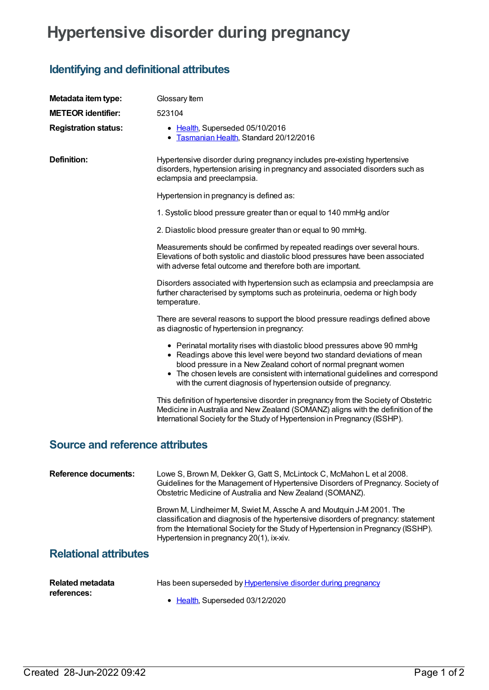## **Hypertensive disorder during pregnancy**

## **Identifying and definitional attributes**

| Metadata item type:                    | Glossary Item                                                                                                                                                                                                                                                                                                                                                                 |
|----------------------------------------|-------------------------------------------------------------------------------------------------------------------------------------------------------------------------------------------------------------------------------------------------------------------------------------------------------------------------------------------------------------------------------|
| <b>METEOR identifier:</b>              | 523104                                                                                                                                                                                                                                                                                                                                                                        |
| <b>Registration status:</b>            | • Health, Superseded 05/10/2016<br>• Tasmanian Health, Standard 20/12/2016                                                                                                                                                                                                                                                                                                    |
| <b>Definition:</b>                     | Hypertensive disorder during pregnancy includes pre-existing hypertensive<br>disorders, hypertension arising in pregnancy and associated disorders such as<br>eclampsia and preeclampsia.                                                                                                                                                                                     |
|                                        | Hypertension in pregnancy is defined as:                                                                                                                                                                                                                                                                                                                                      |
|                                        | 1. Systolic blood pressure greater than or equal to 140 mmHg and/or                                                                                                                                                                                                                                                                                                           |
|                                        | 2. Diastolic blood pressure greater than or equal to 90 mmHg.                                                                                                                                                                                                                                                                                                                 |
|                                        | Measurements should be confirmed by repeated readings over several hours.<br>Elevations of both systolic and diastolic blood pressures have been associated<br>with adverse fetal outcome and therefore both are important.                                                                                                                                                   |
|                                        | Disorders associated with hypertension such as eclampsia and preeclampsia are<br>further characterised by symptoms such as proteinuria, oedema or high body<br>temperature.                                                                                                                                                                                                   |
|                                        | There are several reasons to support the blood pressure readings defined above<br>as diagnostic of hypertension in pregnancy:                                                                                                                                                                                                                                                 |
|                                        | • Perinatal mortality rises with diastolic blood pressures above 90 mmHg<br>• Readings above this level were beyond two standard deviations of mean<br>blood pressure in a New Zealand cohort of normal pregnant women<br>• The chosen levels are consistent with international guidelines and correspond<br>with the current diagnosis of hypertension outside of pregnancy. |
|                                        | This definition of hypertensive disorder in pregnancy from the Society of Obstetric<br>Medicine in Australia and New Zealand (SOMANZ) aligns with the definition of the<br>International Society for the Study of Hypertension in Pregnancy (ISSHP).                                                                                                                          |
| <b>Source and reference attributes</b> |                                                                                                                                                                                                                                                                                                                                                                               |
| <b>Reference documents:</b>            | Lowe S, Brown M, Dekker G, Gatt S, McLintock C, McMahon L et al 2008.<br>Guidelines for the Management of Hypertensive Disorders of Pregnancy. Society of<br>Obstetric Medicine of Australia and New Zealand (SOMANZ).                                                                                                                                                        |
|                                        | Brown M, Lindheimer M, Swiet M, Assche A and Moutquin J-M 2001. The<br>classification and diagnosis of the hypertensive disorders of pregnancy: statement<br>from the International Society for the Study of Hypertension in Pregnancy (ISSHP).<br>Hypertension in pregnancy 20(1), ix-xiv.                                                                                   |
| <b>Relational attributes</b>           |                                                                                                                                                                                                                                                                                                                                                                               |
| <b>Related metadata</b><br>references: | Has been superseded by <b>Hypertensive disorder during pregnancy</b>                                                                                                                                                                                                                                                                                                          |

• [Health](https://meteor.aihw.gov.au/RegistrationAuthority/12), Superseded 03/12/2020